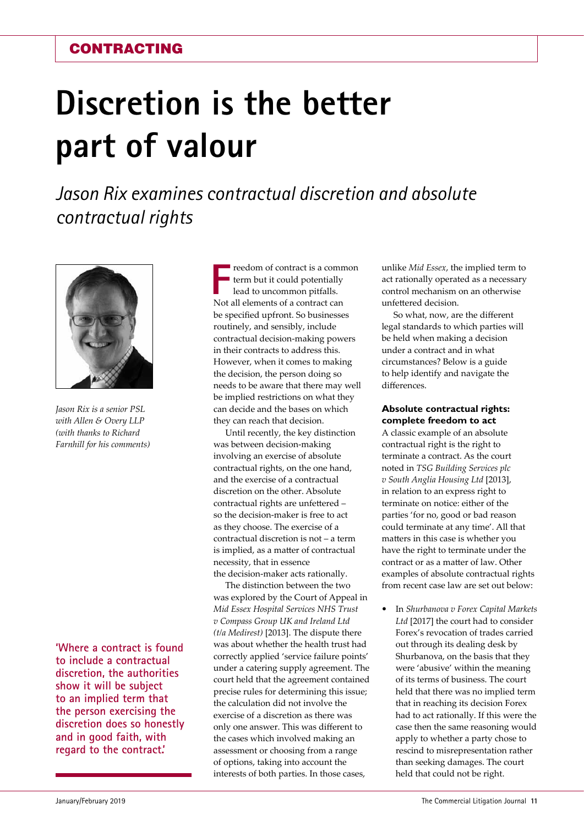# **Discretion is the better part of valour**

*Jason Rix examines contractual discretion and absolute contractual rights*



*Jason Rix is a senior PSL with Allen & Overy LLP (with thanks to Richard Farnhill for his comments)*

**'Where a contract is found to include a contractual discretion, the authorities show it will be subject to an implied term that the person exercising the discretion does so honestly and in good faith, with regard to the contract.'**

**FIFRE ALLANGE CONTRACT CONTRACT CONTRACT CONTRACT CONTRACT CONTRACT CONTRACT CAN NOTE ALL ELEMENTS OF A CONTRACT CAN NOTE ALL ELEMENTS OF A CONTRACT CAN NOTE ALL ELEMENTS OF A CONTRACT CAN NOTE ALL ELEMENTS OF A CONTRACT** reedom of contract is a common term but it could potentially lead to uncommon pitfalls. be specified upfront. So businesses routinely, and sensibly, include contractual decision-making powers in their contracts to address this. However, when it comes to making the decision, the person doing so needs to be aware that there may well be implied restrictions on what they can decide and the bases on which they can reach that decision.

Until recently, the key distinction was between decision-making involving an exercise of absolute contractual rights, on the one hand, and the exercise of a contractual discretion on the other. Absolute contractual rights are unfettered – so the decision-maker is free to act as they choose. The exercise of a contractual discretion is not – a term is implied, as a matter of contractual necessity, that in essence the decision-maker acts rationally.

The distinction between the two was explored by the Court of Appeal in *Mid Essex Hospital Services NHS Trust v Compass Group UK and Ireland Ltd (t/a Medirest)* [2013]. The dispute there was about whether the health trust had correctly applied 'service failure points' under a catering supply agreement. The court held that the agreement contained precise rules for determining this issue; the calculation did not involve the exercise of a discretion as there was only one answer. This was different to the cases which involved making an assessment or choosing from a range of options, taking into account the interests of both parties. In those cases,

unlike *Mid Essex*, the implied term to act rationally operated as a necessary control mechanism on an otherwise unfettered decision.

So what, now, are the different legal standards to which parties will be held when making a decision under a contract and in what circumstances? Below is a guide to help identify and navigate the differences.

# **Absolute contractual rights: complete freedom to act**

A classic example of an absolute contractual right is the right to terminate a contract. As the court noted in *TSG Building Services plc v South Anglia Housing Ltd* [2013], in relation to an express right to terminate on notice: either of the parties 'for no, good or bad reason could terminate at any time'. All that matters in this case is whether you have the right to terminate under the contract or as a matter of law. Other examples of absolute contractual rights from recent case law are set out below:

**•** In *Shurbanova v Forex Capital Markets Ltd* [2017] the court had to consider Forex's revocation of trades carried out through its dealing desk by Shurbanova, on the basis that they were 'abusive' within the meaning of its terms of business. The court held that there was no implied term that in reaching its decision Forex had to act rationally. If this were the case then the same reasoning would apply to whether a party chose to rescind to misrepresentation rather than seeking damages. The court held that could not be right.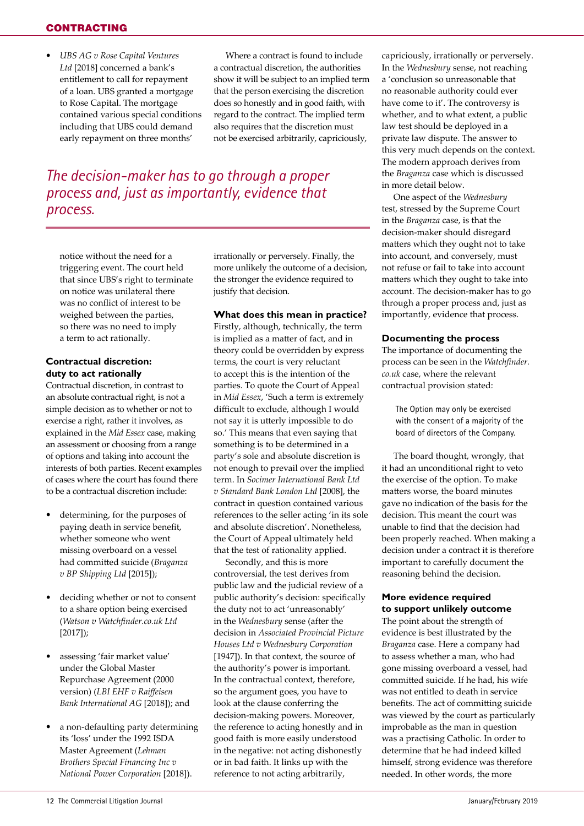# **CONTRACTING**

**•** *UBS AG v Rose Capital Ventures Ltd* [2018] concerned a bank's entitlement to call for repayment of a loan. UBS granted a mortgage to Rose Capital. The mortgage contained various special conditions including that UBS could demand early repayment on three months'

Where a contract is found to include a contractual discretion, the authorities show it will be subject to an implied term that the person exercising the discretion does so honestly and in good faith, with regard to the contract. The implied term also requires that the discretion must not be exercised arbitrarily, capriciously,

*The decision-maker has to go through a proper process and, just as importantly, evidence that process.*

notice without the need for a triggering event. The court held that since UBS's right to terminate on notice was unilateral there was no conflict of interest to be weighed between the parties, so there was no need to imply a term to act rationally.

#### **Contractual discretion: duty to act rationally**

Contractual discretion, in contrast to an absolute contractual right, is not a simple decision as to whether or not to exercise a right, rather it involves, as explained in the *Mid Essex* case, making an assessment or choosing from a range of options and taking into account the interests of both parties. Recent examples of cases where the court has found there to be a contractual discretion include:

- **•** determining, for the purposes of paying death in service benefit, whether someone who went missing overboard on a vessel had committed suicide (*Braganza v BP Shipping Ltd* [2015]);
- **•** deciding whether or not to consent to a share option being exercised (*Watson v Watchfinder.co.uk Ltd* [2017]);
- **•** assessing 'fair market value' under the Global Master Repurchase Agreement (2000 version) (*LBI EHF v Raiffeisen Bank International AG* [2018]); and
- **•** a non-defaulting party determining its 'loss' under the 1992 ISDA Master Agreement (*Lehman Brothers Special Financing Inc v National Power Corporation* [2018]).

irrationally or perversely. Finally, the more unlikely the outcome of a decision, the stronger the evidence required to justify that decision.

#### **What does this mean in practice?**

Firstly, although, technically, the term is implied as a matter of fact, and in theory could be overridden by express terms, the court is very reluctant to accept this is the intention of the parties. To quote the Court of Appeal in *Mid Essex*, 'Such a term is extremely difficult to exclude, although I would not say it is utterly impossible to do so.' This means that even saying that something is to be determined in a party's sole and absolute discretion is not enough to prevail over the implied term. In *Socimer International Bank Ltd v Standard Bank London Ltd* [2008], the contract in question contained various references to the seller acting 'in its sole and absolute discretion'. Nonetheless, the Court of Appeal ultimately held that the test of rationality applied.

Secondly, and this is more controversial, the test derives from public law and the judicial review of a public authority's decision: specifically the duty not to act 'unreasonably' in the *Wednesbury* sense (after the decision in *Associated Provincial Picture Houses Ltd v Wednesbury Corporation*  [1947]). In that context, the source of the authority's power is important. In the contractual context, therefore, so the argument goes, you have to look at the clause conferring the decision-making powers. Moreover, the reference to acting honestly and in good faith is more easily understood in the negative: not acting dishonestly or in bad faith. It links up with the reference to not acting arbitrarily,

capriciously, irrationally or perversely. In the *Wednesbury* sense, not reaching a 'conclusion so unreasonable that no reasonable authority could ever have come to it'. The controversy is whether, and to what extent, a public law test should be deployed in a private law dispute. The answer to this very much depends on the context. The modern approach derives from the *Braganza* case which is discussed in more detail below.

One aspect of the *Wednesbury* test, stressed by the Supreme Court in the *Braganza* case, is that the decision-maker should disregard matters which they ought not to take into account, and conversely, must not refuse or fail to take into account matters which they ought to take into account. The decision-maker has to go through a proper process and, just as importantly, evidence that process.

#### **Documenting the process**

The importance of documenting the process can be seen in the *Watchfinder. co.uk* case, where the relevant contractual provision stated:

The Option may only be exercised with the consent of a majority of the board of directors of the Company.

The board thought, wrongly, that it had an unconditional right to veto the exercise of the option. To make matters worse, the board minutes gave no indication of the basis for the decision. This meant the court was unable to find that the decision had been properly reached. When making a decision under a contract it is therefore important to carefully document the reasoning behind the decision.

# **More evidence required to support unlikely outcome**

The point about the strength of evidence is best illustrated by the *Braganza* case. Here a company had to assess whether a man, who had gone missing overboard a vessel, had committed suicide. If he had, his wife was not entitled to death in service benefits. The act of committing suicide was viewed by the court as particularly improbable as the man in question was a practising Catholic. In order to determine that he had indeed killed himself, strong evidence was therefore needed. In other words, the more